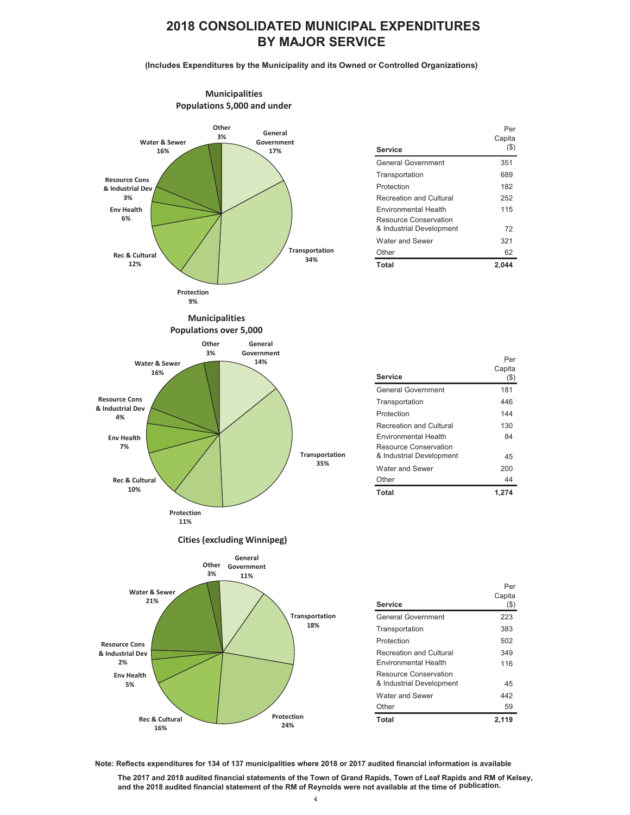## **2018 CONSOLIDATED MUNICIPAL EXPENDITURES BY MAJOR SERVICE**

**(Includes Expenditures by the Municipality and its Owned or Controlled Organizations)**



| Service                                                                          | Per<br>Capita<br>$($ \$) |
|----------------------------------------------------------------------------------|--------------------------|
| <b>General Government</b>                                                        | 351                      |
| Transportation                                                                   | 689                      |
| Protection                                                                       | 182                      |
| <b>Recreation and Cultural</b>                                                   | 252                      |
| <b>Environmental Health</b><br>Resource Conservation<br>& Industrial Development | 115<br>72                |
| Water and Sewer                                                                  | 321                      |
| Other                                                                            | 62                       |
| <b>Total</b>                                                                     | 2.044                    |

|                                                      | Per               |
|------------------------------------------------------|-------------------|
| <b>Service</b>                                       | Capita<br>$($ \$) |
| <b>General Government</b>                            | 181               |
| Transportation                                       | 446               |
| Protection                                           | 144               |
| Recreation and Cultural                              | 130               |
| <b>Environmental Health</b><br>Resource Conservation | 84                |
| & Industrial Development                             | 45                |
| Water and Sewer                                      | 200               |
| Other                                                | 44                |
| Total                                                | 1.274             |



**Note: Reflects expenditures for 134 of 137 municipalities where 2018 or 2017 audited financial information is available**

The 2017 and 2018 audited financial statements of the Town of Grand Rapids, Town of Leaf Rapids and RM of Kelsey, and the 2018 audited financial statement of the RM of Reynolds were not available at the time of publication.